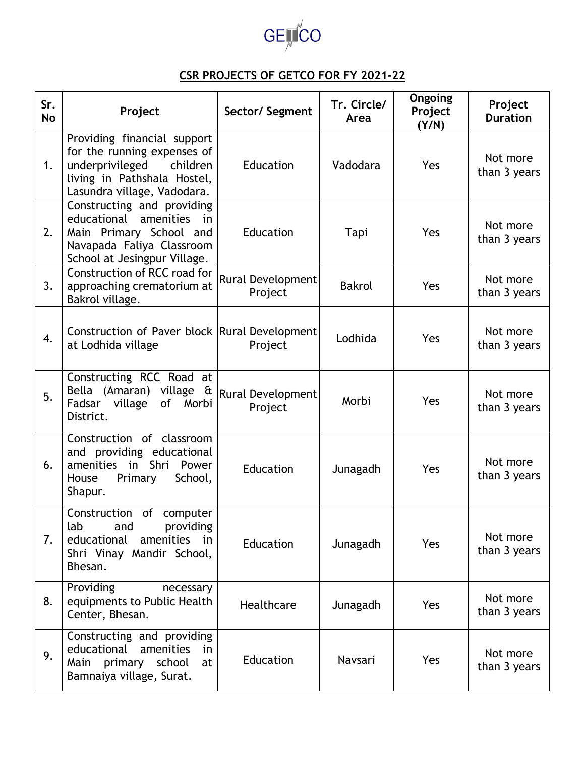

## **CSR PROJECTS OF GETCO FOR FY 2021-22**

| Sr.<br>No | Project                                                                                                                                                 | Sector/ Segment              | Tr. Circle/<br>Area | Ongoing<br>Project<br>(Y/N) | Project<br><b>Duration</b> |
|-----------|---------------------------------------------------------------------------------------------------------------------------------------------------------|------------------------------|---------------------|-----------------------------|----------------------------|
| 1.        | Providing financial support<br>for the running expenses of<br>underprivileged<br>children<br>living in Pathshala Hostel,<br>Lasundra village, Vadodara. | Education                    | Vadodara            | Yes                         | Not more<br>than 3 years   |
| 2.        | Constructing and providing<br>educational<br>amenities<br>in<br>Main Primary School and<br>Navapada Faliya Classroom<br>School at Jesingpur Village.    | Education                    | Tapi                | Yes                         | Not more<br>than 3 years   |
| 3.        | Construction of RCC road for<br>approaching crematorium at<br>Bakrol village.                                                                           | Rural Development<br>Project | <b>Bakrol</b>       | Yes                         | Not more<br>than 3 years   |
| 4.        | Construction of Paver block Rural Development<br>at Lodhida village                                                                                     | Project                      | Lodhida             | <b>Yes</b>                  | Not more<br>than 3 years   |
| 5.        | Constructing RCC Road at<br>Bella (Amaran) village &<br>village<br>of Morbi<br>Fadsar<br>District.                                                      | Rural Development<br>Project | Morbi               | Yes                         | Not more<br>than 3 years   |
| 6.        | Construction of classroom<br>and providing educational<br>amenities in<br>Shri<br>Power<br>School,<br>House<br>Primary<br>Shapur.                       | Education                    | Junagadh            | Yes                         | Not more<br>than 3 years   |
| 7.        | Construction of<br>computer<br>lab<br>providing<br>and<br>educational<br>amenities in<br>Shri Vinay Mandir School,<br>Bhesan.                           | Education                    | Junagadh            | Yes                         | Not more<br>than 3 years   |
| 8.        | Providing<br>necessary<br>equipments to Public Health<br>Center, Bhesan.                                                                                | Healthcare                   | Junagadh            | Yes                         | Not more<br>than 3 years   |
| 9.        | Constructing and providing<br>educational<br>amenities<br>in<br>Main primary<br>school<br>at<br>Bamnaiya village, Surat.                                | Education                    | Navsari             | Yes                         | Not more<br>than 3 years   |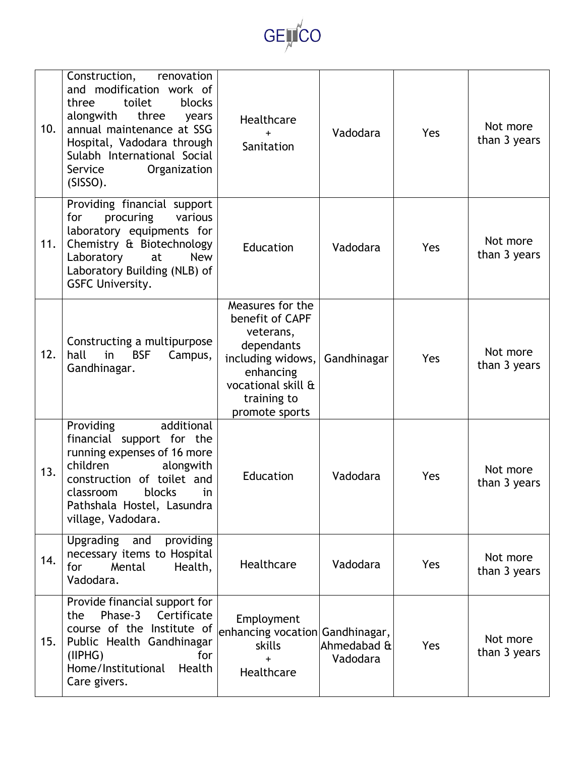

| 10. | Construction,<br>renovation<br>and modification work of<br>three<br>toilet<br>blocks<br>alongwith<br>three<br>years<br>annual maintenance at SSG<br>Hospital, Vadodara through<br>Sulabh International Social<br>Organization<br>Service<br>(SISSO). | Healthcare<br>$+$<br>Sanitation                                                                                                                         | Vadodara                | Yes | Not more<br>than 3 years |
|-----|------------------------------------------------------------------------------------------------------------------------------------------------------------------------------------------------------------------------------------------------------|---------------------------------------------------------------------------------------------------------------------------------------------------------|-------------------------|-----|--------------------------|
| 11. | Providing financial support<br>for<br>procuring<br>various<br>laboratory equipments for<br>Chemistry & Biotechnology<br>Laboratory<br><b>New</b><br>at<br>Laboratory Building (NLB) of<br><b>GSFC University.</b>                                    | Education                                                                                                                                               | Vadodara                | Yes | Not more<br>than 3 years |
| 12. | Constructing a multipurpose<br>hall<br>Campus,<br>in<br><b>BSF</b><br>Gandhinagar.                                                                                                                                                                   | Measures for the<br>benefit of CAPF<br>veterans,<br>dependants<br>including widows,<br>enhancing<br>vocational skill &<br>training to<br>promote sports | Gandhinagar             | Yes | Not more<br>than 3 years |
| 13. | additional<br>Providing<br>financial support for the<br>running expenses of 16 more<br>children<br>alongwith<br>construction of toilet and<br>blocks<br>classroom<br>in<br>Pathshala Hostel, Lasundra<br>village, Vadodara.                          | Education                                                                                                                                               | Vadodara                | Yes | Not more<br>than 3 years |
| 14. | Upgrading and<br>providing<br>necessary items to Hospital<br>for<br>Mental<br>Health,<br>Vadodara.                                                                                                                                                   | Healthcare                                                                                                                                              | Vadodara                | Yes | Not more<br>than 3 years |
| 15. | Provide financial support for<br>Phase-3<br>Certificate<br>the<br>course of the Institute of<br>Public Health Gandhinagar<br>(IIPHG)<br>for<br>Home/Institutional<br>Health<br>Care givers.                                                          | Employment<br>enhancing vocation Gandhinagar,<br>skills<br>Healthcare                                                                                   | Ahmedabad &<br>Vadodara | Yes | Not more<br>than 3 years |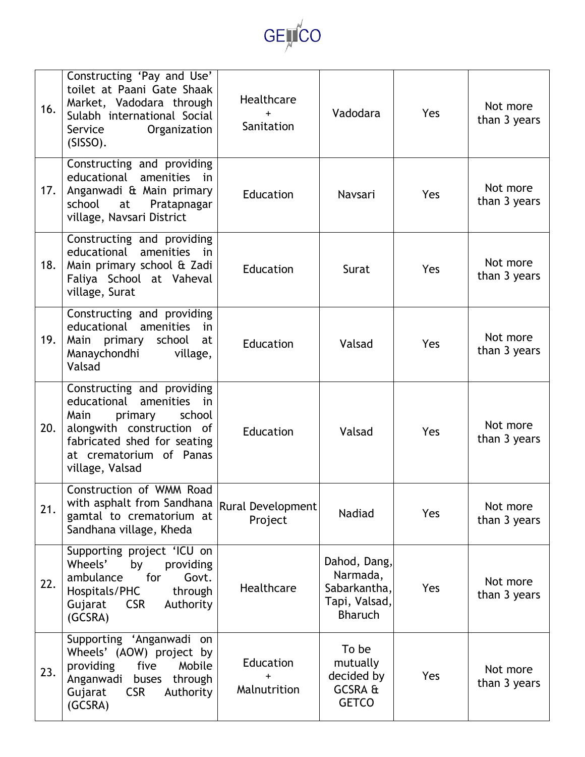

| 16. | Constructing 'Pay and Use'<br>toilet at Paani Gate Shaak<br>Market, Vadodara through<br>Sulabh international Social<br>Organization<br>Service<br>(SISSO).                                          | Healthcare<br>Sanitation     | Vadodara                                                                    | Yes        | Not more<br>than 3 years |
|-----|-----------------------------------------------------------------------------------------------------------------------------------------------------------------------------------------------------|------------------------------|-----------------------------------------------------------------------------|------------|--------------------------|
| 17. | Constructing and providing<br>educational amenities<br>in i<br>Anganwadi & Main primary<br>school<br>at<br>Pratapnagar<br>village, Navsari District                                                 | Education                    | Navsari                                                                     | <b>Yes</b> | Not more<br>than 3 years |
| 18. | Constructing and providing<br>educational<br>amenities<br>in<br>Main primary school & Zadi<br>Faliya School at Vaheval<br>village, Surat                                                            | Education                    | Surat                                                                       | <b>Yes</b> | Not more<br>than 3 years |
| 19. | Constructing and providing<br>educational amenities<br>in<br>Main primary<br>school<br>at<br>Manaychondhi<br>village,<br>Valsad                                                                     | Education                    | Valsad                                                                      | <b>Yes</b> | Not more<br>than 3 years |
| 20. | Constructing and providing<br>educational<br>amenities<br>in<br>Main<br>school<br>primary<br>alongwith construction of<br>fabricated shed for seating<br>at crematorium of Panas<br>village, Valsad | Education                    | Valsad                                                                      | Yes        | Not more<br>than 3 years |
| 21. | Construction of WMM Road<br>with asphalt from Sandhana<br>gamtal to crematorium at<br>Sandhana village, Kheda                                                                                       | Rural Development<br>Project | <b>Nadiad</b>                                                               | Yes        | Not more<br>than 3 years |
| 22. | Supporting project 'ICU on<br>Wheels'<br>by<br>providing<br>for<br>ambulance<br>Govt.<br>Hospitals/PHC<br>through<br><b>CSR</b><br>Gujarat<br>Authority<br>(GCSRA)                                  | Healthcare                   | Dahod, Dang,<br>Narmada,<br>Sabarkantha,<br>Tapi, Valsad,<br><b>Bharuch</b> | Yes        | Not more<br>than 3 years |
| 23. | Supporting 'Anganwadi on<br>Wheels' (AOW) project by<br>providing<br>Mobile<br>five<br>Anganwadi<br>buses<br>through<br><b>CSR</b><br>Authority<br>Gujarat<br>(GCSRA)                               | Education<br>Malnutrition    | To be<br>mutually<br>decided by<br>GCSRA &<br><b>GETCO</b>                  | Yes        | Not more<br>than 3 years |